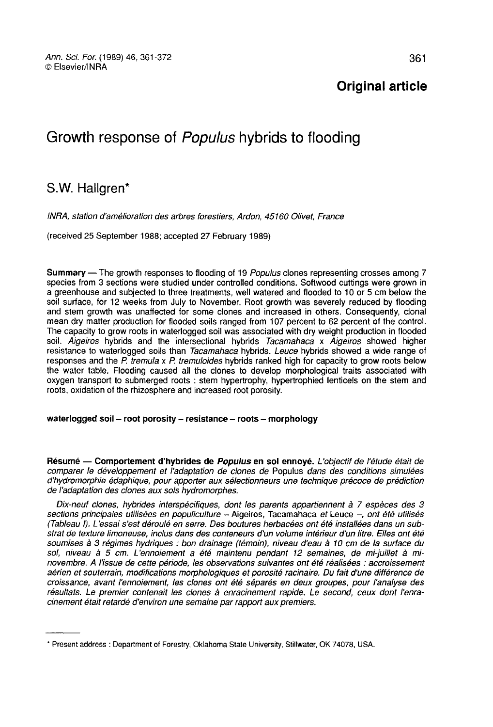# Original article

# Growth response of Populus hybrids to flooding

# S.W. Hallgren\*

INRA, station d'amelioration des arbres forestiers, Ardon, 45160 Olivet, France

(received 25 September 1988; accepted 27 February 1989)

Summary — The growth responses to flooding of 19 Populus clones representing crosses among 7 species from 3 sections were studied under controlled conditions. Softwood cuttings were grown in a greenhouse and subjected to three treatments, well watered and flooded to 10 or 5 cm below the soil surface, for 12 weeks from July to November. Root growth was severely reduced by flooding and stem growth was unaffected for some clones and increased in others. Consequently, clonal mean dry matter production for flooded soils ranged from 107 percent to 62 percent of the control. The capacity to grow roots in waterlogged soil was associated with dry weight production in flooded soil. Aigeiros hybrids and the intersectional hybrids Tacamahaca x Aigeiros showed higher resistance to waterlogged soils than Tacamahaca hybrids. Leuce hybrids showed a wide range of responses and the  $P$ . tremula x  $P$ . tremuloides hybrids ranked high for capacity to grow roots below the water table. Flooding caused all the clones to develop morphological traits associated with oxygen transport to submerged roots : stem hypertrophy, hypertrophied lenticels on the stem and roots, oxidation of the rhizosphere and increased root porosity.

# waterlogged soil - root porosity - resistance - roots - morphology

Résumé - Comportement d'hybrides de Populus en sol ennoyé. L'objectif de l'étude était de comparer le développement et l'adaptation de clones de Populus dans des conditions simulées d'hydromorphie édaphique, pour apporter aux sélectionneurs une technique précoce de prédiction de l'adaptation des clones aux sols hydromorphes.

Dix-neuf clones, hybrides interspécifiques, dont les parents appartiennent à 7 espèces des 3 sections principales utilisées en populiculture - Aigeiros, Tacamahaca et Leuce -, ont été utilisés (Tableau I). L'essai s'est déroulé en serre. Des boutures herbacées ont été installées dans un substrat de texture limoneuse, inclus dans des conteneurs d'un volume intérieur d'un litre. Elles ont été soumises à 3 régimes hydriques : bon drainage (témoin), niveau d'eau à 10 cm de la surface du sol, niveau à 5 cm. L'ennoiement a été maintenu pendant 12 semaines, de mi-juillet à minovembre. A l'issue de cette période, les observations suivantes ont été réalisées : accroissement aérien et souterrain, modifications morphologiques et porosité racinaire. Du fait d'une différence de croissance, avant l'ennoiement, les clones ont été séparés en deux groupes, pour l'analyse des résultats. Le premier contenait les clones à enracinement rapide. Le second, ceux dont l'enracinement était retardé d'environ une semaine par rapport aux premiers.

<sup>\*</sup> Present address : Department of Forestry, Oklahoma State University. Stillwater, OK 74078, USA.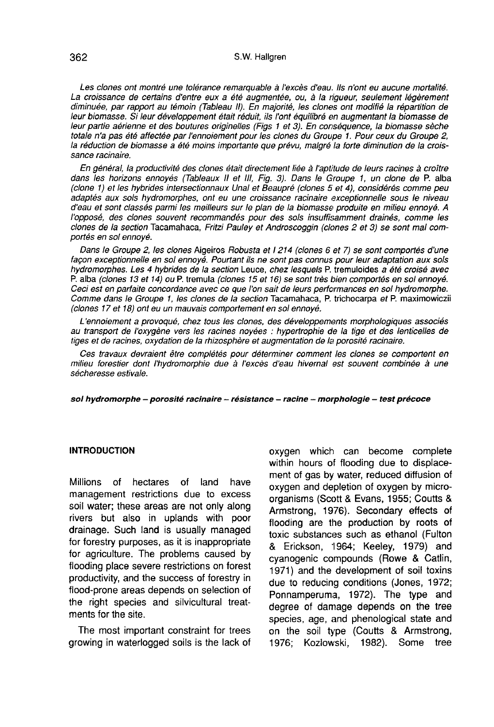Les clones ont montré une tolérance remarquable à l'excès d'eau. Ils n'ont eu aucune mortalité.<br>La croissance de certains d'entre eux a été augmentée, ou, à la rigueur, seulement légèrement diminuée, par rapport au témoin (Tableau II). En majorité, les clones ont modifié la répartition de leur biomasse. Si leur développement était réduit, ils l'ont équilibré en augmentant la biomasse de leur partie aérienne et des boutures originelles (Figs 1 et 3). En conséquence, la biomasse sèche totale n'a pas été affectée par l'ennoiement pour les clones du Groupe 1. Pour ceux du Groupe 2, la réduction de biomasse a été moins importante que prévu, malgré la forte diminution de la croissance racinaire.

En général, la productivité des clones était directement liée à l'aptitude de leurs racines à croître dans les horizons ennoyés (Tableaux II et III, Fig. 3). Dans le Groupe 1, un clone de P. alba (clone 1) et les hybrides intersectionnaux Unal et Beaupré (clones 5 et 4), considérés comme peu adaptés aux sols hydromorphes, ont eu une croissance racinaire exceptionnelle sous le niveau d'eau et sont classés parmi les meilleurs sur le plan de la biomasse produite en milieu ennoyé. A l'opposé, des clones souvent recommandés pour des sols insuffisamment drainés, comme les clones de la section Tacamahaca, Fritzi Pauley et Androscoggin (clones 2 et 3) se sont mal comportés en sol ennoyé.

Dans le Groupe 2, les clones Aigeiros Robusta et I 214 (clones 6 et 7) se sont comportés d'une façon exceptionnelle en sol ennoyé. Pourtant ils ne sont pas connus pour leur adaptation aux sols hydromorphes. Les 4 hybrides de la section Leuce, chez lesquels P. tremuloides a été croisé avec P. alba (clones 13 et 14) ou P. tremula (clones 15 et 16) se sont très bien comportés en sol ennoyé.<br>Ceci est en parfaite concordance avec ce que l'on sait de leurs performances en sol hydromorphe. clones de la section Tacamahaca, Fritzi Pauley et Androscoggin (clones 2 et 3) se sont mal comportés en sol ennoyé.<br>
Dans le Groupe 2, les clones Aigeiros Robusta et l'214 (clones 6 et 7) se sont comportés d'une<br>
façon exc Comme dans le Groupe 1, les clones de la section Tacamahaca, P. trichocarpa et P. maximowiczü (clones 17 et 18) ont eu un mauvais comportement en sol ennoyé.

L'ennoiement a provoqué, chez tous les clones, des développements morphologiques associés au transport de l'oxygène vers les racines noyées : hypertrophie de la tige et des lenticelles de tiges et de racines, oxydation de la rhizosphère et augmentation de la porosité racinaire.

Ces travaux devraient être complétés pour déterminer comment les clones se comportent en milieu forestier dont l'hydromorphie due à l'excès d'eau hivernal est souvent combinée à une sécheresse estivale.

sol hydromorphe - porosité racinaire - résistance - racine - morphologie - test précoce

# INTRODUCTION

Millions of hectares of land have management restrictions due to excess soil water; these areas are not only along rivers but also in uplands with poor drainage. Such land is usually managed for forestry purposes, as it is inappropriate for agriculture. The problems caused by flooding place severe restrictions on forest productivity, and the success of forestry in flood-prone areas depends on selection of the right species and silvicultural treatments for the site.

The most important constraint for trees growing in waterlogged soils is the lack of

oxygen which can become complete within hours of flooding due to displacement of gas by water, reduced diffusion of oxygen and depletion of oxygen by microorganisms (Scott & Evans, 1955; Coutts & Armstrong, 1976). Secondary effects of flooding are the production by roots of toxic substances such as ethanol (Fulton flooding are the production by roots of<br>toxic substances such as ethanol (Fulton<br>& Erickson, 1964; Keeley, 1979) and cyanogenic compounds (Rowe & Catlin, 1971) and the development of soil toxins due to reducing conditions (Jones, 1972; Ponnamperuma, 1972). The type and degree of damage depends on the tree species, age, and phenological state and on the soil type (Coutts & Armstrong, 1976; Kozlowski, 1982). Some tree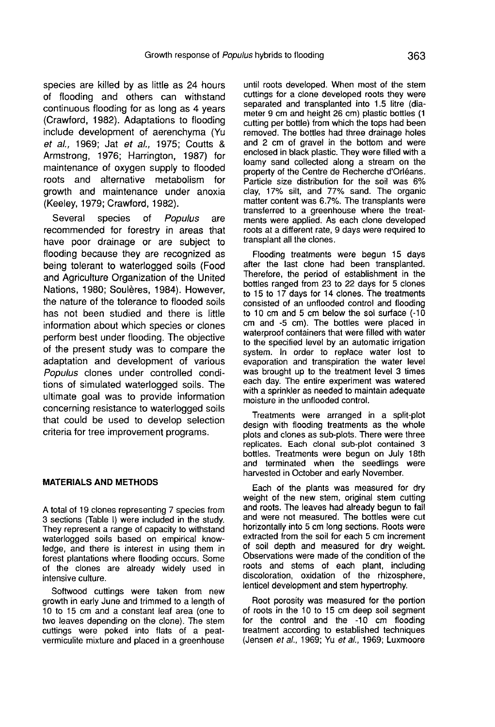species are killed by as little as 24 hours of flooding and others can withstand continuous flooding for as long as 4 years (Crawford, 1982). Adaptations to flooding include development of aerenchyma (Yu et al., 1969; Jat et al., 1975; Coutts & Armstrong, 1976; Harrington, 1987) for maintenance of oxygen supply to flooded roots and alternative metabolism for growth and maintenance under anoxia (Keeley, 1979; Crawford, 1982).

Several species of Populus are recommended for forestry in areas that have poor drainage or are subject to flooding because they are recognized as being tolerant to waterlogged soils (Food and Agriculture Organization of the United Nations, 1980; Soulères, 1984). However, the nature of the tolerance to flooded soils has not been studied and there is little information about which species or clones perform best under flooding. The objective of the present study was to compare the adaptation and development of various Populus clones under controlled conditions of simulated waterlogged soils. The ultimate goal was to provide information concerning resistance to waterlogged soils that could be used to develop selection criteria for tree improvement programs.

## MATERIALS AND METHODS

A total of 19 clones representing 7 species from 3 sections (Table I) were included in the study. They represent a range of capacity to withstand waterlogged soils based on empirical knowledge, and there is interest in using them in forest plantations where flooding occurs. Some of the clones are already widely used in intensive culture.

Softwood cuttings were taken from new growth in early June and trimmed to a length of 10 to 15 cm and a constant leaf area (one to two leaves depending on the clone). The stem cuttings were poked into flats of a peatvermiculite mixture and placed in a greenhouse until roots developed. When most of the stem cuttings for a clone developed roots they were<br>separated and transplanted into 1.5 litre (diameter 9 cm and height 26 cm) plastic bottles (1. cutting per bottle) from which the tops had been removed. The bottles had three drainage holes and 2 cm of gravel in the bottom and were enclosed in black plastic. They were filled with a loamy sand collected along a stream on the property of the Centre de Recherche d'Orléans. Particle size distribution for the soil was 6% clay, 17% silt, and 77% sand. The organic matter content was 6.7%. The transplants were transferred to a greenhouse where the treatments were applied. As each clone developed roots at a different rate, 9 days were required to transplant all the clones.

Flooding treatments were begun 15 days after the last clone had been transplanted. Therefore, the period of establishment in the bottles ranged from 23 to 22 days for 5 clones to 15 to 17 days for 14 clones. The treatments to 10 cm and 5 cm below the sol surface  $(-10)$ cm and -5 cm). The bottles were placed in waterproof containers that were filled with water to the specified level by an automatic irrigation system. In order to replace water lost to evaporation and transpiration the water level was brought up to the treatment level 3 times each day. The entire experiment was watered with a sprinkler as needed to maintain adequate moisture in the unflooded control.

Treatments were arranged in a split-plot design with flooding treatments as the whole plots and clones as sub-plots. There were three replicates. Each clonal sub-plot contained 3 bottles. Treatments were begun on July 18th and terminated when the seedlings were harvested in October and early November.

Each of the plants was measured for dry weight of the new stem, original stem cutting and roots. The leaves had already begun to fall and were not measured. The bottles were cut horizontally into 5 cm long sections. Roots were extracted from the soil for each 5 cm increment of soil depth and measured for dry weight. Observations were made of the condition of the roots and stems of each plant, including discoloration, oxidation of the rhizosphere, lenticel development and stem hypertrophy.

Root porosity was measured for the portion of roots in the 10 to 15 cm deep soil segment for the control and the -10 cm flooding treatment according to established techniques (Jensen et al., 1969; Yu et al., 1969; Luxmoore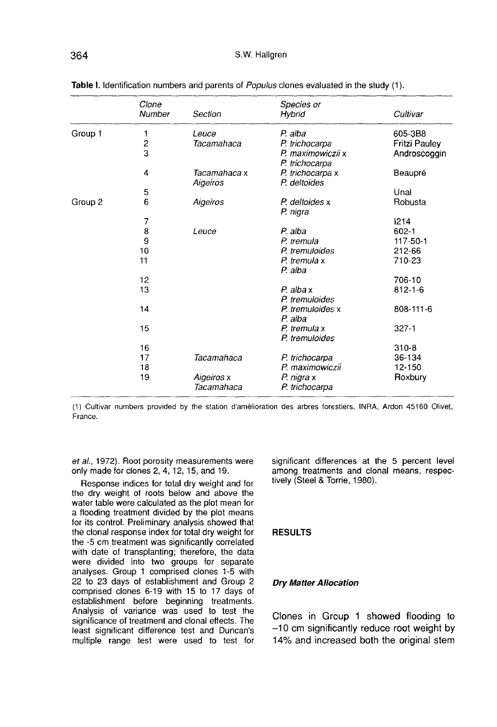|         | Clone<br>Number         | Section                  | Species or<br>Hybrid                | Cultivar             |
|---------|-------------------------|--------------------------|-------------------------------------|----------------------|
| Group 1 | 1                       | Leuce                    | P. alba                             | 605-3B8              |
|         | $\overline{\mathbf{c}}$ | Tacamahaca               | P. trichocarpa                      | <b>Fritzi Pauley</b> |
|         | 3                       |                          | P. maximowiczii x<br>P. trichocarpa | Androscoggin         |
|         | 4                       | Tacamahaca x<br>Aigeiros | P. trichocarpa x<br>P. deltoides    | Beaupré              |
|         | 5                       |                          |                                     | Unal                 |
| Group 2 | 6                       | Aigeiros                 | P. deltoides x<br>P. nigra          | Robusta              |
|         | 7                       |                          |                                     | 1214                 |
|         | 8                       | Leuce                    | P. alba                             | $602 - 1$            |
|         | 9                       |                          | P. tremula                          | 117-50-1             |
|         | 10                      |                          | P. tremuloides                      | 212-66               |
|         | 11                      |                          | P. tremula x<br>P. alba             | 710-23               |
|         | 12                      |                          |                                     | 706-10               |
|         | 13                      |                          | $P$ . alba x<br>P. tremuloides      | $812 - 1 - 6$        |
|         | 14                      |                          | P. tremuloides x<br>P. alba         | 808-111-6            |
|         | 15                      |                          | P. tremula x<br>P. tremuloides      | $327 - 1$            |
|         | 16                      |                          |                                     | $310 - 8$            |
|         | 17                      | Tacamahaca               | P. trichocarpa                      | 36-134               |
|         | 18                      |                          | P. maximowiczii                     | 12-150               |
|         | 19                      | Aigeiros x<br>Tacamahaca | P. nigra x<br>P. trichocarpa        | Roxbury              |

| Table I. Identification numbers and parents of <i>Populus</i> clones evaluated in the study (1). |  |  |  |  |  |  |
|--------------------------------------------------------------------------------------------------|--|--|--|--|--|--|
|--------------------------------------------------------------------------------------------------|--|--|--|--|--|--|

(1) Cultivar numbers provided by the station d'amélioration des arbres forestiers, INRA, Ardon 45160 Olivet, France.

et al., 1972). Root porosity measurements were only made for clones 2, 4, 12, 15, and 19.

Response indices for total dry weight and for the dry weight of roots below and above the water table were calculated as the plot mean for a flooding treatment divided by the plot means for its control. Preliminary analysis showed that the clonal response index for total dry weight for the -5 cm treatment was significantly correlated with date of transplanting; therefore, the data were divided into two groups for separate analyses. Group 1 comprised clones 1-5 with 22 to 23 days of establishment and Group 2 comprised clones 6-19 with 15 to 17 days of establishment before beginning treatments. Analysis of variance was used to test the significance of treatment and clonal effects. The least significant difference test and Duncan's multiple range test were used to test for

significant differences at the 5 percent level among treatments and clonal means, respectively (Steel & Torrie, 1980).

## **RESULTS**

# Dry Matter Allocation

Clones in Group 1 showed flooding to -10 cm significantly reduce root weight by 14% and increased both the original stem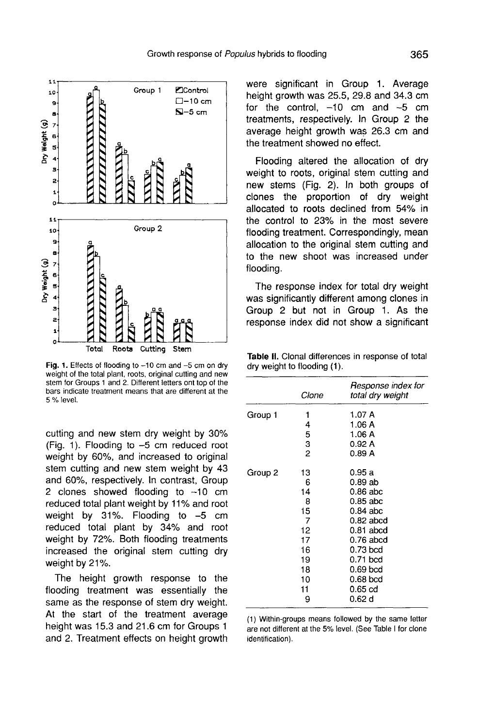

Fig. 1. Effects of flooding to  $-10$  cm and  $-5$  cm on dry weight of the total plant, roots, original cutting and new stem for Groups 1 and 2. Different letters ont top of the bars indicate treatment means that are different at the 5 % level.

cutting and new stem dry weight by 30%  $(Fia, 1)$ . Flooding to  $-5$  cm reduced root weight by 60%, and increased to original stem cutting and new stem weight by 43 and 60%, respectively. In contrast, Group 2 clones showed flooding to  $-10$  cm reduced total plant weight by 11% and root weight by 31%. Flooding to -5 cm reduced total plant by 34% and root weight by 72%. Both flooding treatments increased the original stem cutting dry weight by 21%.

The height growth response to the flooding treatment was essentially the same as the response of stem dry weight. At the start of the treatment average height was 15.3 and 21.6 cm for Groups 1 and 2. Treatment effects on height growth were significant in Group 1. Average height growth was 25.5, 29.8 and 34.3 cm for the control,  $-10$  cm and  $-5$  cm treatments, respectively. In Group 2 the average height growth was 26.3 cm and the treatment showed no effect.

Flooding altered the allocation of dry weight to roots, original stem cutting and new stems (Fig. 2). In both groups of clones the proportion of dry weight allocated to roots declined from 54% in the control to 23% in the most severe flooding treatment. Correspondingly, mean allocation to the original stem cutting and to the new shoot was increased under flooding.

The response index for total dry weight was significantly different among clones in Group 2 but not in Group 1. As the response index did not show a significant

| <b>Table II.</b> Clonal differences in response of total |  |
|----------------------------------------------------------|--|
| dry weight to flooding (1).                              |  |

|         | Clone | Response index for<br>total dry weight |
|---------|-------|----------------------------------------|
| Group 1 | 1     | 1.07 A                                 |
|         | 4     | 1.06 A                                 |
|         | 5     | 1.06A                                  |
|         | 3     | 0.92 A                                 |
|         | 2     | 0.89 A                                 |
| Group 2 | 13    | 0.95 a                                 |
|         | 6     | 0.89 ab                                |
|         | 14    | 0.86 abc                               |
|         | 8     | 0.85 abc                               |
|         | 15    | 0.84 abc                               |
|         | 7     | $0.82$ abcd                            |
|         | 12    | 0.81 abcd                              |
|         | 17    | 0.76 abcd                              |
|         | 16    | 0.73 bcd                               |
|         | 19    | 0.71 bcd                               |
|         | 18    | 0.69 bcd                               |
|         | 10    | 0.68 bcd                               |
|         | 11    | 0.65 cd                                |
|         | 9     | 0.62 d                                 |

(1) Within-groups means followed by the same letter are not different at the 5% level. (See Table I for clone identification).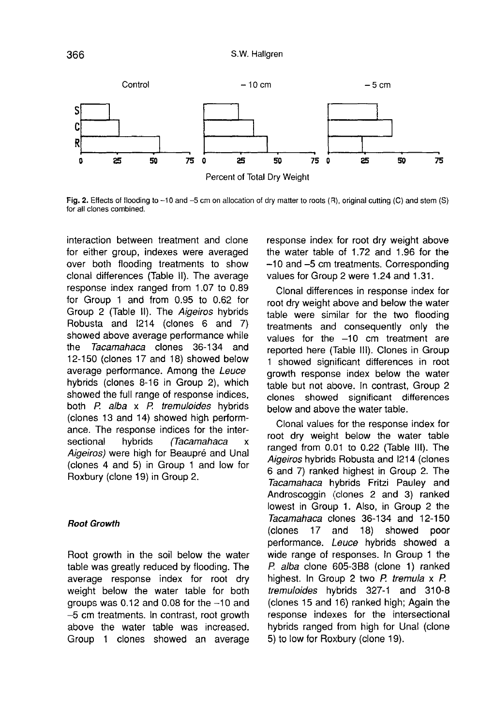

Fig. 2. Effects of flooding to -10 and -5 cm on allocation of dry matter to roots (R), original cutting (C) and stem (S) for all clones combined.

interaction between treatment and clone for either group, indexes were averaged over both flooding treatments to show clonal differences (Table II). The average response index ranged from 1.07 to 0.89 for Group 1 and from 0.95 to 0.62 for Group 2 (Table II). The Aigeiros hybrids Robusta and 1214 (clones 6 and 7) showed above average performance while<br>the *Tacamahaca* clones 36-134 and Tacamahaca clones 36-134 and 12-150 (clones 17 and 18) showed below average performance. Among the Leuce hybrids (clones 8-16 in Group 2), which showed the full range of response indices, both P. alba x P. tremuloides hybrids (clones 13 and 14) showed high perform ance. The response indices for the inter-<br>sectional bhorids (Tacamahaca x (Tacamahaca x Aigeiros) were high for Beaupré and Unal (clones 4 and 5) in Group 1 and low for Roxbury (clone 19) in Group 2.

#### Root Growth

Root growth in the soil below the water table was greatly reduced by flooding. The average response index for root dry weight below the water table for both groups was  $0.12$  and  $0.08$  for the  $-10$  and -5 cm treatments. In contrast, root growth above the water table was increased. Group 1 clones showed an average response index for root dry weight above the water table of 1.72 and 1.96 for the -10 and -5 cm treatments. Corresponding values for Group 2 were 1.24 and 1.31.

Clonal differences in response index for root dry weight above and below the water table were similar for the two flooding treatments and consequently only the values for the -10 cm treatment are reported here (Table III). Clones in Group 1 showed significant differences in root growth response index below the water table but not above, In contrast, Group 2 clones showed significant differences below and above the water table.

Clonal values for the response index for root dry weight below the water table ranged from 0.01 to 0.22 (Table III). The Aigeiros hybrids Robusta and 1214 (clones 6 and 7) ranked highest in Group 2. The Tacamahaca hybrids Fritzi Pauley and Androscoggin (clones 2 and 3) ranked lowest in Group 1. Also, in Group 2 the Tacamahaca clones 36-134 and 12-150 (clones 17 and 18) showed poor performance. Leuce hybrids showed a wide range of responses. In Group 1 the P. alba clone 605-3B8 (clone 1) ranked highest. In Group 2 two P. tremula x P. tremuloides hybrids 327-1 and 310-8 (clones 15 and 16) ranked high; Again the response indexes for the intersectional hybrids ranged from high for Unal (clone 5) to low for Roxbury (clone 19).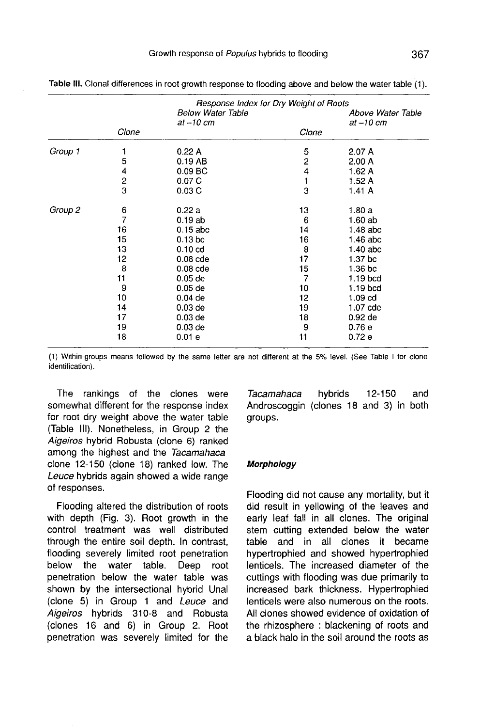|         |               | Response Index for Dry Weight of Roots     |                         |                               |  |
|---------|---------------|--------------------------------------------|-------------------------|-------------------------------|--|
|         |               | <b>Below Water Table</b><br>$at - 10$ $cm$ |                         | Above Water Table<br>at-10 cm |  |
|         | Clone         |                                            | Clone                   |                               |  |
| Group 1 |               | 0.22A                                      | 5                       | 2.07A                         |  |
|         | 5             | 0.19 AB                                    | $\overline{\mathbf{c}}$ | 2.00A                         |  |
|         | 4             | $0.09$ BC                                  | 4                       | 1.62 A                        |  |
|         | $\frac{2}{3}$ | 0.07C                                      | 1                       | 1.52A                         |  |
|         |               | 0.03C                                      | 3                       | 1.41A                         |  |
| Group 2 | 6             | 0.22a                                      | 13                      | 1.80a                         |  |
|         | 7             | 0.19ab                                     | 6                       | 1.60 ab                       |  |
|         | 16            | $0.15$ abc                                 | 14                      | $1.48$ abc                    |  |
|         | 15            | 0.13 <sub>bc</sub>                         | 16                      | 1.46 abc                      |  |
|         | 13            | 0.10 <sub>cd</sub>                         | 8                       | $1.40$ abc                    |  |
|         | 12            | $0.08$ cde                                 | 17                      | 1.37 <sub>bc</sub>            |  |
|         | 8             | $0.08$ cde                                 | 15                      | 1.36 <sub>b</sub> c           |  |
|         | 11            | $0.05$ de                                  | 7                       | 1.19 bcd                      |  |
|         | 9             | $0.05$ de                                  | 10                      | $1.19$ bcd                    |  |
|         | 10            | $0.04$ de                                  | 12                      | 1.09 <sub>cd</sub>            |  |
|         | 14            | $0.03$ de                                  | 19                      | 1.07 cde                      |  |
|         | 17            | $0.03$ de                                  | 18                      | $0.92$ de                     |  |
|         | 19            | $0.03$ de                                  | 9                       | 0.76e                         |  |
|         | 18            | 0.01e                                      | 11                      | 0.72e                         |  |

Table III. Clonal differences in root growth response to flooding above and below the water table (1).

(1) Within-groups means followed by the same letter are not different at the 5% level. (See Table I for clone identification).

The rankings of the clones were somewhat different for the response index for root dry weight above the water table (Table III). Nonetheless, in Group 2 the Aigeiros hybrid Robusta (clone 6) ranked among the highest and the Tacamahaca clone 12-150 (clone 18) ranked low. The Leuce hybrids again showed a wide range of responses.

Flooding altered the distribution of roots with depth (Fig. 3). Root growth in the control treatment was well distributed through the entire soil depth. In contrast, flooding severely limited root penetration below the water table. Deep root penetration below the water table was shown by the intersectional hybrid Unal (clone 5) in Group 1 and Leuce and Aigeiros hybrids 310-8 and Robusta (clones 16 and 6) in Group 2. Root penetration was severely limited for the

Tacamahaca hybrids 12-150 and Androscoggin (clones 18 and 3) in both groups.

#### Morphology

Flooding did not cause any mortality, but it did result in yellowing of the leaves and early leaf fall in all clones. The original stem cutting extended below the water table and in all clones it became hypertrophied and showed hypertrophied lenticels. The increased diameter of the cuttings with flooding was due primarily to increased bark thickness. Hypertrophied lenticels were also numerous on the roots. All clones showed evidence of oxidation of the rhizosphere : blackening of roots and a black halo in the soil around the roots as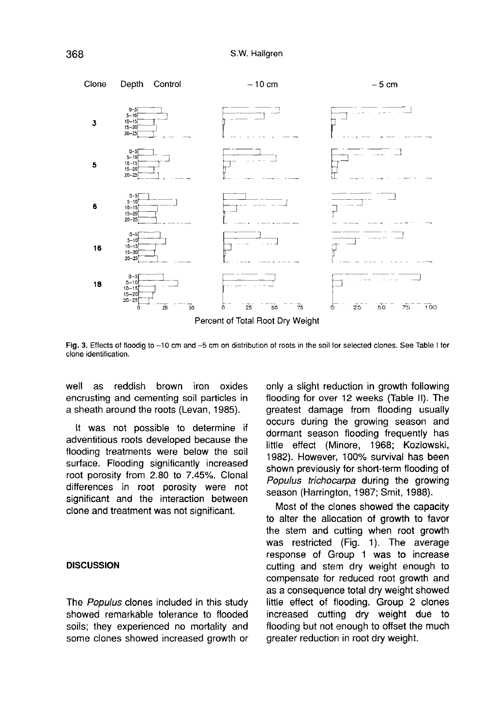

Fig. 3. Effects of floodig to -10 cm and -5 cm on distribution of roots in the soil for selected clones. See Table I for clone identification.

well as reddish brown iron oxides encrusting and cementing soil particles in a sheath around the roots (Levan, 1985).

It was not possible to determine if adventitious roots developed because the flooding treatments were below the soil surface. Flooding significantly increased root porosity from 2.80 to 7.45%. Clonal differences in root porosity were not significant and the interaction between clone and treatment was not significant.

## **DISCUSSION**

The Populus clones included in this study showed remarkable tolerance to flooded soils; they experienced no mortality and some clones showed increased growth or only a slight reduction in growth following flooding for over 12 weeks (Table II). The greatest damage from flooding usually occurs during the growing season and dormant season flooding frequently has little effect (Nlinore, 1968; Kozlowski, 1982). However, 100% survival has been shown previously for short-term flooding of Populus trichocarpa during the growing season (Harrington, 1987; Smit, 1988).

Most of the clones showed the capacity to alter the allocation of growth to favor<br>the stem and cutting when root growth was restricted (Fig. 1). The average response of Group 1 was to increase cutting and stem dry weight enough to compensate for reduced root growth and as a consequence total dry weight showed little effect of flooding. Group 2 clones increased cutting dry weight due to flooding but not enough to offset the much greater reduction in root dry weight.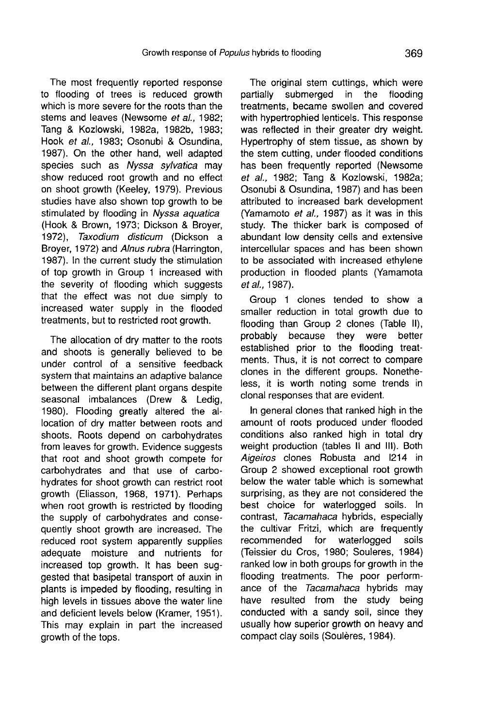The most frequently reported response to flooding of trees is reduced growth which is more severe for the roots than the stems and leaves (Newsome et al., 1982; Tang & Kozlowski, 1982a, 1982b, 1983; Hook et al., 1983; Osonubi & Osundina, 1987). On the other hand, well adapted species such as Nyssa sylvatica may show reduced root growth and no effect on shoot growth (Keeley, 1979). Previous studies have also shown top growth to be stimulated by flooding in Nyssa aquatica (Hook & Brown, 1973; Dickson & Broyer, 1972), Taxodium disticum (Dickson a Broyer, 1972) and Alnus rubra (Harrington, 1987). In the current study the stimulation of top growth in Group 1 increased with the severity of flooding which suggests that the effect was not due simply to increased water supply in the flooded treatments, but to restricted root growth.

The allocation of dry matter to the roots and shoots is generally believed to be under control of a sensitive feedback system that maintains an adaptive balance between the different plant organs despite seasonal imbalances (Drew & Ledig, 1980). Flooding greatly altered the allocation of dry matter between roots and shoots. Roots depend on carbohydrates from leaves for growth. Evidence suggests that root and shoot growth compete for carbohydrates and that use of carbohydrates for shoot growth can restrict root growth (Eliasson, 1968, 1971). Perhaps when root growth is restricted by flooding the supply of carbohydrates and consequently shoot growth are increased. The reduced root system apparently supplies adequate moisture and nutrients for increased top growth. It has been suggested that basipetal transport of auxin in plants is impeded by flooding, resulting in high levels in tissues above the water line and deficient levels below (Kramer, 1951). This may explain in part the increased growth of the tops.

The original stem cuttings, which were partially submerged in the flooding treatments, became swollen and covered with hypertrophied lenticels. This response was reflected in their greater dry weight. Hypertrophy of stem tissue, as shown by the stem cutting, under flooded conditions has been frequently reported (Newsome et al., 1982; Tang & Kozlowski, 1982a; Osonubi & Osundina, 1987) and has been attributed to increased bark development (Yamamoto et al., 1987) as it was in this study. The thicker bark is composed of abundant low density cells and extensive intercellular spaces and has been shown to be associated with increased ethylene production in flooded plants (Yamamota et al., 1987).

Group 1 clones tended to show a smaller reduction in total growth due to flooding than Group 2 clones (Table II), probably because they were better established prior to the flooding treatments. Thus, it is not correct to compare clones in the different groups. Nonetheless, it is worth noting some trends in clonal responses that are evident.

In general clones that ranked high in the amount of roots produced under flooded conditions also ranked high in total dry weight production (tables II and 111). Both Aigeiros clones Robusta and 1214 in Group 2 showed exceptional root growth below the water table which is somewhat surprising, as they are not considered the best choice for waterlogged soils. In contrast, Tacamahaca hybrids, especially the cultivar Fritzi, which are frequently<br>recommended for waterlogged soils recommended for (Teissier du Cros, 1980; Souleres, 1984) ranked low in both groups for growth in the flooding treatments. The poor perform ance of the Tacamahaca hybrids may have resulted from the study being conducted with a sandy soil, since they usually how superior growth on heavy and compact clay soils (Soulères, 1984).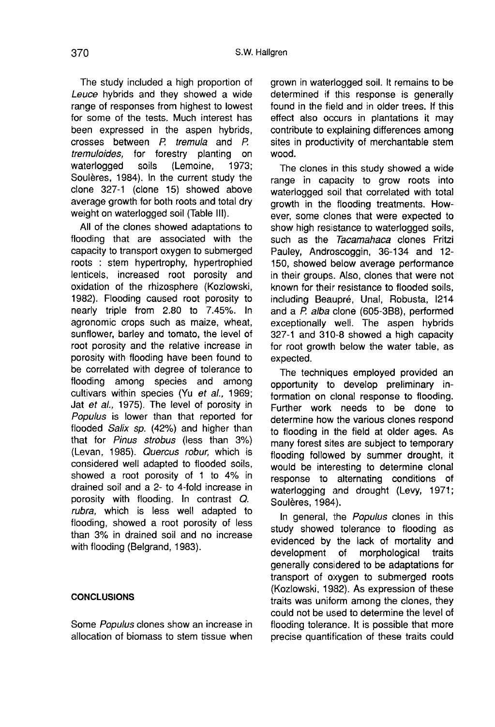The study included a high proportion of Leuce hybrids and they showed a wide range of responses from highest to lowest for some of the tests. Much interest has been expressed in the aspen hybrids, crosses between P. tremula and P. tremuloides, for forestry planting on<br>waterlogged soils (Lemoine, 1973; waterlogged Soulères, 1984). In the current study the clone 327-1 (clone 15) showed above average growth for both roots and total dry weight on waterlogged soil (Table 111).

All of the clones showed adaptations to flooding that are associated with the capacity to transport oxygen to submerged roots : stem hypertrophy, hypertrophied lenticels, increased root porosity and oxidation of the rhizosphere (Kozlowski, 1982). Flooding caused root porosity to nearly triple from 2.80 to 7.45%. In agronomic crops such as maize, wheat, sunflower, barley and tomato, the level of root porosity and the relative increase in porosity with flooding have been found to be correlated with degree of tolerance to flooding among species and among cultivars within species (Yu et al., 1969; Jat et al., 1975). The level of porosity in Populus is lower than that reported for flooded Salix sp. (42%) and higher than that for Pinus strobus (less than 3%) (Levan, 1985). Quercus robur, which is considered well adapted to flooded soils, showed a root porosity of 1 to 4% in drained soil and a 2- to 4-fold increase in porosity with flooding. In contrast Q. rubra, which is less well adapted to flooding, showed a root porosity of less than 3% in drained soil and no increase with flooding (Belgrand, 1983).

# **CONCLUSIONS**

Some Populus clones show an increase in allocation of biomass to stem tissue when grown in waterlogged soil. It remains to be determined if this response is generally found in the field and in older trees. If this effect also occurs in plantations it may contribute to explaining differences among sites in productivity of merchantable stem wood.

The clones in this study showed a wide range in capacity to grow roots into waterlogged soil that correlated with total growth in the flooding treatments. However, some clones that were expected to show high resistance to waterlogged soils, such as the Tacamahaca clones Fritzi Pauley, Androscoggin, 36-134 and 12- 150, showed below average performance in their groups. Also, clones that were not known for their resistance to flooded soils, including Beaupr6, Unal, Robusta, 1214 and a P. alba clone (605-3B8), performed exceptionally well. The aspen hybrids 327-1 and 310-8 showed a high capacity for root growth below the water table, as expected.

The techniques employed provided an opportunity to develop preliminary information on clonal response to flooding. Further work needs to be done to determine how the various clones respond to flooding in the field at older ages. As many forest sites are subject to temporary flooding followed by summer drought, it would be interesting to determine clonal response to alternating conditions of waterlogging and drought (Levy, 1971; Soulères, 1984).

In general, the Populus clones in this study showed tolerance to flooding as evidenced by the lack of mortality and<br>development of morphological traits morphological traits generally considered to be adaptations for transport of oxygen to submerged roots (Kozlowski, 1982). As expression of these traits was uniform among the clones, they could not be used to determine the level of flooding tolerance. It is possible that more precise quantification of these traits could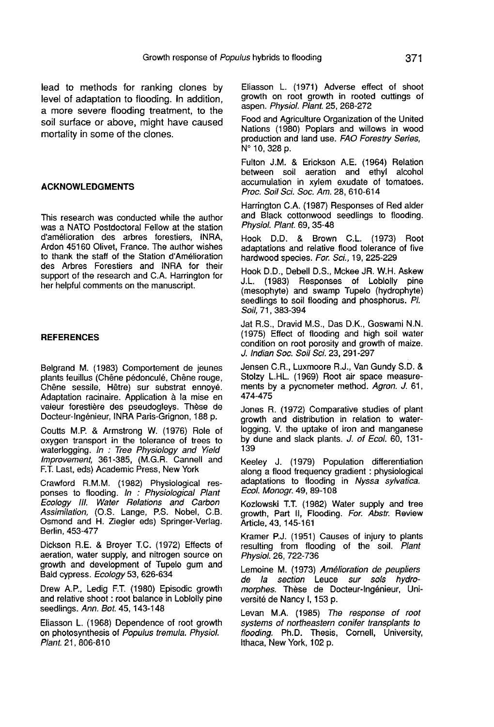lead to methods for ranking clones by level of adaptation to flooding. In addition, a more severe flooding treatment, to the soil surface or above, might have caused mortality in some of the clones.

#### ACKNOWLEDGMENTS

This research was conducted while the author was a NATO Postdoctoral Fellow at the station d'am6lioration des arbres forestiers, INRA, Ardon 45160 Olivet, France. The author wishes to thank the staff of the Station d'Amélioration des Arbres Forestiers and INRA for their support of the research and C.A. Harrington for her helpful comments on the manuscript.

## **REFERENCES**

Belgrand M. (1983) Comportement de jeunes plants feuillus (Chêne pédonculé, Chêne rouge, Chene sessile, H6tre) sur substrat ennoyé. Adaptation racinaire. Application à la mise en valeur forestière des pseudogleys. Thèse de Docteur-Ing6nieur, INRA Paris-Grignon, 188 p.

Coutts M.P. & Armstrong W. (1976) Role of oxygen transport in the tolerance of trees to waterlogging. In : Tree Physiology and Yield Improvement, 361-385, (M.G.R. Cannell and F.T. Last, eds) Academic Press, New York

Crawford R.M.M. (1982) Physiological responses to flooding. ln : Physiological Plant Ecology I//. Water Relations and Carbon Assimilation, (O.S. Lange, P.S. Nobel, C.B. Osmond and H. Ziegler eds) Springer-Verlag. Berlin, 453-477

Dickson R.E. & Broyer T.C. (1972) Effects of aeration, water supply, and nitrogen source on growth and development of Tupelo gum and Bald cypress. Ecology 53, 626-634

Drew A.P., Ledig F.T. (1980) Episodic growth and relative shoot : root balance in Loblolly pine seedlings. Ann. Bot. 45, 143-148

Eliasson L. (1968) Dependence of root growth on photosynthesis of Populus tremula. Physiol. Plant. 21, 806-810

Eliasson L. (1971) Adverse effect of shoot growth on root growth in rooted cuttings of aspen. Physiol. Plant. 25, 268-272

Food and Agriculture Organization of the United Nations (1980) Poplars and willows in wood production and land use. FAO Forestry Series, N° 10, 328 p.

Fulton J.M. & Erickson A.E. (1964) Relation between soil aeration and ethyl alcohol accumulation in xylem exudate of tomatoes. Proc. Soil Sci. Soc. Am. 28, 610-614

Harrington C.A. (1987) Responses of Red alder and Black cottonwood seedlings to flooding. Physiol. Plant. 69, 35-48

Hook D.D. & Brown C.L. (1973) Root adaptations and relative flood tolerance of five hardwood species. For. Sci., 19, 225-229

Hook D.D., Debell D.S., Mckee JR. W.H. Askew J.L. (1983) Responses of Loblolly pine (mesophyte) and swamp Tupelo (hydrophyte) seedlings to soil flooding and phosphorus. Pl. Soil, 71, 383-394

Jat R.S., Dravid M.S., Das D.K., Goswami N.N. (1975) Effect of flooding and high soil water condition on root porosity and growth of maize. J. Indian Soc. Soil Sci. 23, 291-297

Jensen C.R., Luxmoore R.J., Van Gundy S.D. & Stolzy L.HL. (1969) Root air space measurements by a pycnometer method. Agron. J. 61, 474-475

Jones R. (1972) Comparative studies of plant growth and distribution in relation to waterlogging. V. the uptake of iron and manganese by dune and slack plants. J. of Ecol. 60, 131- 139

Keeley J. (1979) Population differentiation along a flood frequency gradient : physiological adaptations to flooding in Nyssa sylvatica. Ecol. Monogr. 49, 89-108

Kozlowski T.T. (1982) Water supply and tree growth, Part II, Flooding. For. Abstr. Review Article, 43, 145-161

Kramer P.J. (1951) Causes of injury to plants resulting from flooding of the soil. Plant Physiol. 26, 722-736

Lemoine M. (1973) Amélioration de peupliers de la section Leuce sur sols hydromorphes. Thèse de Docteur-Ingénieur, Université de Nancy I, 153 p.

Levan M.A. (1985) The response of root systems of northeastern conifer transplants to flooding. Ph.D. Thesis, Cornell, University, Ithaca, New York, 102 p.